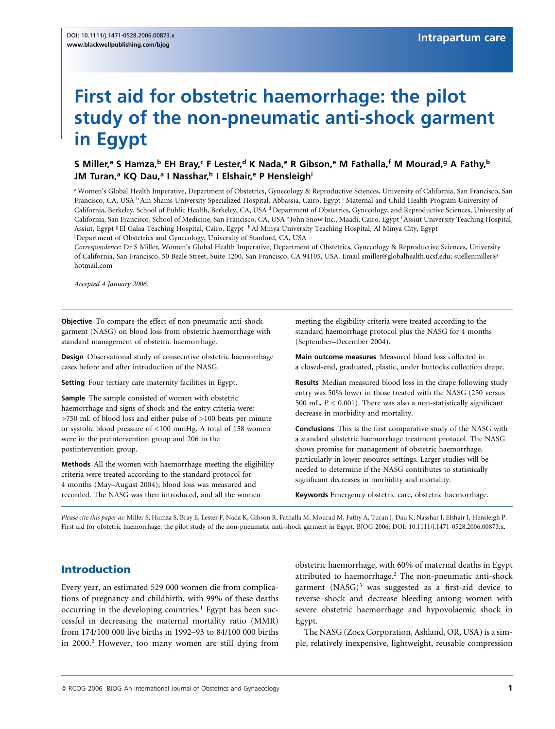# First aid for obstetric haemorrhage: the pilot study of the non-pneumatic anti-shock garment in Egypt

#### S Miller,<sup>a</sup> S Hamza,<sup>b</sup> EH Bray,<sup>c</sup> F Lester,<sup>d</sup> K Nada,<sup>e</sup> R Gibson,<sup>e</sup> M Fathalla,<sup>f</sup> M Mourad,<sup>g</sup> A Fathy,<sup>b</sup> JM Turan,<sup>a</sup> KQ Dau,<sup>a</sup> I Nasshar,<sup>h</sup> I Elshair,<sup>e</sup> P Hensleigh<sup>i</sup>

<sup>a</sup> Women's Global Health Imperative, Department of Obstetrics, Gynecology & Reproductive Sciences, University of California, San Francisco, San Francisco, CA, USA <sup>b</sup> Ain Shams University Specialized Hospital, Abbassia, Cairo, Egypt <sup>c</sup> Maternal and Child Health Program University of California, Berkeley, School of Public Health, Berkeley, CA, USA <sup>d</sup> Department of Obstetrics, Gynecology, and Reproductive Sciences, University of California, San Francisco, School of Medicine, San Francisco, CA, USA <sup>e</sup> John Snow Inc., Maadi, Cairo, Egypt <sup>f</sup> Assiut University Teaching Hospital, Assiut, Egypt <sup>g</sup> El Galaa Teaching Hospital, Cairo, Egypt <sup>h</sup> Al Minya University Teaching Hospital, Al Minya City, Egypt <sup>i</sup>Department of Obstetrics and Gynecology, University of Stanford, CA, USA

Correspondence: Dr S Miller, Women's Global Health Imperative, Department of Obstetrics, Gynecology & Reproductive Sciences, University of California, San Francisco, 50 Beale Street, Suite 1200, San Francisco, CA 94105, USA. Email smiller@globalhealth.ucsf.edu; suellenmiller@ hotmail.com

Accepted 4 January 2006.

Objective To compare the effect of non-pneumatic anti-shock garment (NASG) on blood loss from obstetric haemorrhage with standard management of obstetric haemorrhage.

Design Observational study of consecutive obstetric haemorrhage cases before and after introduction of the NASG.

Setting Four tertiary care maternity facilities in Egypt.

Sample The sample consisted of women with obstetric haemorrhage and signs of shock and the entry criteria were: >750 mL of blood loss and either pulse of >100 beats per minute or systolic blood pressure of <100 mmHg. A total of 158 women were in the preintervention group and 206 in the postintervention group.

Methods All the women with haemorrhage meeting the eligibility criteria were treated according to the standard protocol for 4 months (May–August 2004); blood loss was measured and recorded. The NASG was then introduced, and all the women

meeting the eligibility criteria were treated according to the standard haemorrhage protocol plus the NASG for 4 months (September–December 2004).

Main outcome measures Measured blood loss collected in a closed-end, graduated, plastic, under buttocks collection drape.

**Results** Median measured blood loss in the drape following study entry was 50% lower in those treated with the NASG (250 versus 500 mL,  $P < 0.001$ ). There was also a non-statistically significant decrease in morbidity and mortality.

Conclusions This is the first comparative study of the NASG with a standard obstetric haemorrhage treatment protocol. The NASG shows promise for management of obstetric haemorrhage, particularly in lower resource settings. Larger studies will be needed to determine if the NASG contributes to statistically significant decreases in morbidity and mortality.

Keywords Emergency obstetric care, obstetric haemorrhage.

Please cite this paper as: Miller S, Hamza S, Bray E, Lester F, Nada K, Gibson R, Fathalla M, Mourad M, Fathy A, Turan J, Dau K, Nasshar I, Elshair I, Hensleigh P. First aid for obstetric haemorrhage: the pilot study of the non-pneumatic anti-shock garment in Egypt. BJOG 2006; DOI: 10.1111/j.1471-0528.2006.00873.x.

#### Introduction

Every year, an estimated 529 000 women die from complications of pregnancy and childbirth, with 99% of these deaths occurring in the developing countries.<sup>1</sup> Egypt has been successful in decreasing the maternal mortality ratio (MMR) from 174/100 000 live births in 1992–93 to 84/100 000 births in 2000.2 However, too many women are still dying from

obstetric haemorrhage, with 60% of maternal deaths in Egypt attributed to haemorrhage.<sup>2</sup> The non-pneumatic anti-shock garment  $(NASG)^3$  was suggested as a first-aid device to reverse shock and decrease bleeding among women with severe obstetric haemorrhage and hypovolaemic shock in Egypt.

The NASG (Zoex Corporation, Ashland, OR, USA) is a simple, relatively inexpensive, lightweight, reusable compression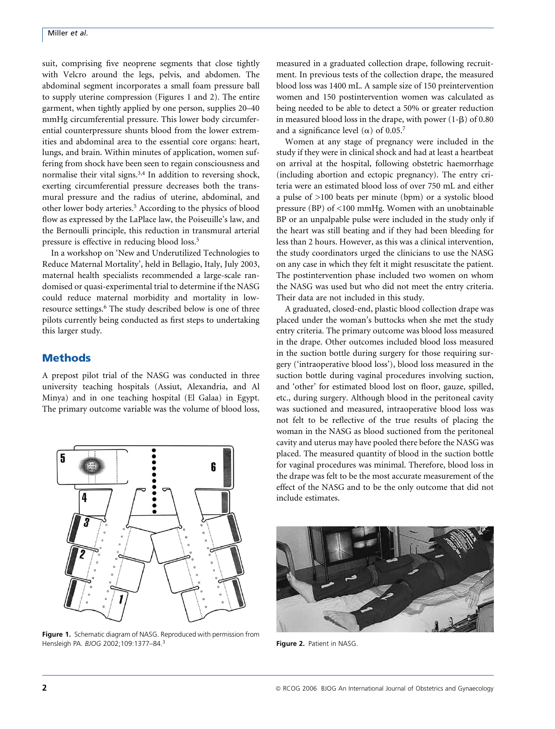suit, comprising five neoprene segments that close tightly with Velcro around the legs, pelvis, and abdomen. The abdominal segment incorporates a small foam pressure ball to supply uterine compression (Figures 1 and 2). The entire garment, when tightly applied by one person, supplies 20–40 mmHg circumferential pressure. This lower body circumferential counterpressure shunts blood from the lower extremities and abdominal area to the essential core organs: heart, lungs, and brain. Within minutes of application, women suffering from shock have been seen to regain consciousness and normalise their vital signs.<sup>3,4</sup> In addition to reversing shock, exerting circumferential pressure decreases both the transmural pressure and the radius of uterine, abdominal, and other lower body arteries.<sup>5</sup> According to the physics of blood flow as expressed by the LaPlace law, the Poiseuille's law, and the Bernoulli principle, this reduction in transmural arterial pressure is effective in reducing blood loss.<sup>5</sup>

In a workshop on 'New and Underutilized Technologies to Reduce Maternal Mortality', held in Bellagio, Italy, July 2003, maternal health specialists recommended a large-scale randomised or quasi-experimental trial to determine if the NASG could reduce maternal morbidity and mortality in lowresource settings.<sup>6</sup> The study described below is one of three pilots currently being conducted as first steps to undertaking this larger study.

## **Methods**

A prepost pilot trial of the NASG was conducted in three university teaching hospitals (Assiut, Alexandria, and Al Minya) and in one teaching hospital (El Galaa) in Egypt. The primary outcome variable was the volume of blood loss,

5 ĥ 4

Figure 1. Schematic diagram of NASG. Reproduced with permission from Hensleigh PA. BJOG 2002;109:1377-84.<sup>3</sup> Figure 2. Patient in NASG.

measured in a graduated collection drape, following recruitment. In previous tests of the collection drape, the measured blood loss was 1400 mL. A sample size of 150 preintervention women and 150 postintervention women was calculated as being needed to be able to detect a 50% or greater reduction in measured blood loss in the drape, with power  $(1-\beta)$  of 0.80 and a significance level  $(\alpha)$  of 0.05.<sup>7</sup>

Women at any stage of pregnancy were included in the study if they were in clinical shock and had at least a heartbeat on arrival at the hospital, following obstetric haemorrhage (including abortion and ectopic pregnancy). The entry criteria were an estimated blood loss of over 750 mL and either a pulse of >100 beats per minute (bpm) or a systolic blood pressure (BP) of <100 mmHg. Women with an unobtainable BP or an unpalpable pulse were included in the study only if the heart was still beating and if they had been bleeding for less than 2 hours. However, as this was a clinical intervention, the study coordinators urged the clinicians to use the NASG on any case in which they felt it might resuscitate the patient. The postintervention phase included two women on whom the NASG was used but who did not meet the entry criteria. Their data are not included in this study.

A graduated, closed-end, plastic blood collection drape was placed under the woman's buttocks when she met the study entry criteria. The primary outcome was blood loss measured in the drape. Other outcomes included blood loss measured in the suction bottle during surgery for those requiring surgery ('intraoperative blood loss'), blood loss measured in the suction bottle during vaginal procedures involving suction, and 'other' for estimated blood lost on floor, gauze, spilled, etc., during surgery. Although blood in the peritoneal cavity was suctioned and measured, intraoperative blood loss was not felt to be reflective of the true results of placing the woman in the NASG as blood suctioned from the peritoneal cavity and uterus may have pooled there before the NASG was placed. The measured quantity of blood in the suction bottle for vaginal procedures was minimal. Therefore, blood loss in the drape was felt to be the most accurate measurement of the effect of the NASG and to be the only outcome that did not include estimates.

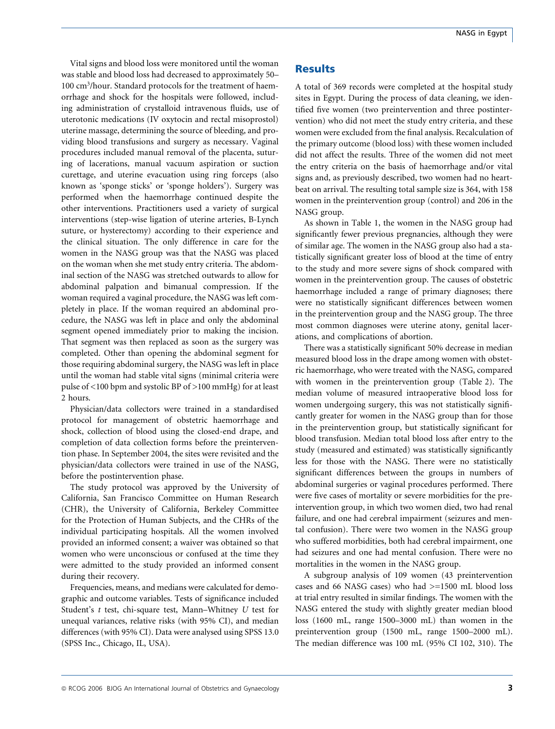Vital signs and blood loss were monitored until the woman was stable and blood loss had decreased to approximately 50– 100 cm3/hour. Standard protocols for the treatment of haemorrhage and shock for the hospitals were followed, including administration of crystalloid intravenous fluids, use of uterotonic medications (IV oxytocin and rectal misoprostol) uterine massage, determining the source of bleeding, and providing blood transfusions and surgery as necessary. Vaginal procedures included manual removal of the placenta, suturing of lacerations, manual vacuum aspiration or suction curettage, and uterine evacuation using ring forceps (also known as 'sponge sticks' or 'sponge holders'). Surgery was performed when the haemorrhage continued despite the other interventions. Practitioners used a variety of surgical interventions (step-wise ligation of uterine arteries, B-Lynch suture, or hysterectomy) according to their experience and the clinical situation. The only difference in care for the women in the NASG group was that the NASG was placed on the woman when she met study entry criteria. The abdominal section of the NASG was stretched outwards to allow for abdominal palpation and bimanual compression. If the woman required a vaginal procedure, the NASG was left completely in place. If the woman required an abdominal procedure, the NASG was left in place and only the abdominal segment opened immediately prior to making the incision. That segment was then replaced as soon as the surgery was completed. Other than opening the abdominal segment for those requiring abdominal surgery, the NASG was left in place until the woman had stable vital signs (minimal criteria were pulse of <100 bpm and systolic BP of >100 mmHg) for at least 2 hours.

Physician/data collectors were trained in a standardised protocol for management of obstetric haemorrhage and shock, collection of blood using the closed-end drape, and completion of data collection forms before the preintervention phase. In September 2004, the sites were revisited and the physician/data collectors were trained in use of the NASG, before the postintervention phase.

The study protocol was approved by the University of California, San Francisco Committee on Human Research (CHR), the University of California, Berkeley Committee for the Protection of Human Subjects, and the CHRs of the individual participating hospitals. All the women involved provided an informed consent; a waiver was obtained so that women who were unconscious or confused at the time they were admitted to the study provided an informed consent during their recovery.

Frequencies, means, and medians were calculated for demographic and outcome variables. Tests of significance included Student's t test, chi-square test, Mann–Whitney U test for unequal variances, relative risks (with 95% CI), and median differences (with 95% CI). Data were analysed using SPSS 13.0 (SPSS Inc., Chicago, IL, USA).

#### **Results**

A total of 369 records were completed at the hospital study sites in Egypt. During the process of data cleaning, we identified five women (two preintervention and three postintervention) who did not meet the study entry criteria, and these women were excluded from the final analysis. Recalculation of the primary outcome (blood loss) with these women included did not affect the results. Three of the women did not meet the entry criteria on the basis of haemorrhage and/or vital signs and, as previously described, two women had no heartbeat on arrival. The resulting total sample size is 364, with 158 women in the preintervention group (control) and 206 in the NASG group.

As shown in Table 1, the women in the NASG group had significantly fewer previous pregnancies, although they were of similar age. The women in the NASG group also had a statistically significant greater loss of blood at the time of entry to the study and more severe signs of shock compared with women in the preintervention group. The causes of obstetric haemorrhage included a range of primary diagnoses; there were no statistically significant differences between women in the preintervention group and the NASG group. The three most common diagnoses were uterine atony, genital lacerations, and complications of abortion.

There was a statistically significant 50% decrease in median measured blood loss in the drape among women with obstetric haemorrhage, who were treated with the NASG, compared with women in the preintervention group (Table 2). The median volume of measured intraoperative blood loss for women undergoing surgery, this was not statistically significantly greater for women in the NASG group than for those in the preintervention group, but statistically significant for blood transfusion. Median total blood loss after entry to the study (measured and estimated) was statistically significantly less for those with the NASG. There were no statistically significant differences between the groups in numbers of abdominal surgeries or vaginal procedures performed. There were five cases of mortality or severe morbidities for the preintervention group, in which two women died, two had renal failure, and one had cerebral impairment (seizures and mental confusion). There were two women in the NASG group who suffered morbidities, both had cerebral impairment, one had seizures and one had mental confusion. There were no mortalities in the women in the NASG group.

A subgroup analysis of 109 women (43 preintervention cases and 66 NASG cases) who had  $>=1500$  mL blood loss at trial entry resulted in similar findings. The women with the NASG entered the study with slightly greater median blood loss (1600 mL, range 1500–3000 mL) than women in the preintervention group (1500 mL, range 1500–2000 mL). The median difference was 100 mL (95% CI 102, 310). The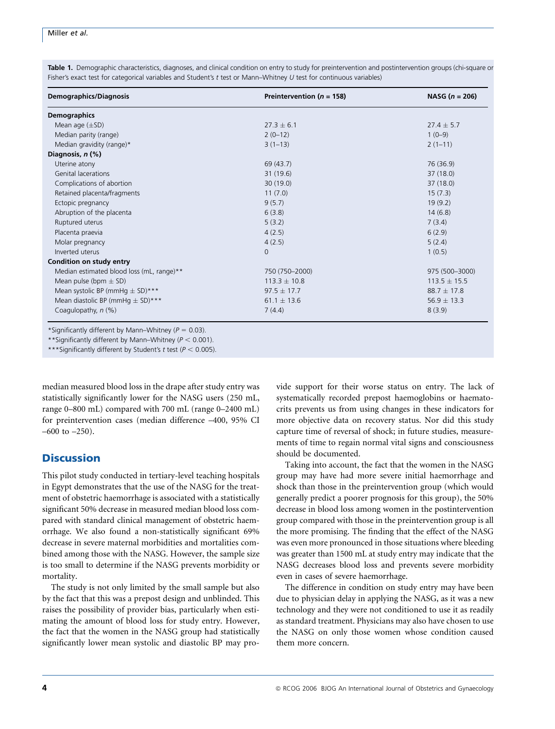| <b>Demographics/Diagnosis</b>             | Preintervention ( $n = 158$ ) | NASG $(n = 206)$ |
|-------------------------------------------|-------------------------------|------------------|
| <b>Demographics</b>                       |                               |                  |
| Mean age $(\pm SD)$                       | $27.3 \pm 6.1$                | $27.4 \pm 5.7$   |
| Median parity (range)                     | $2(0-12)$                     | $1(0-9)$         |
| Median gravidity (range)*                 | $3(1-13)$                     | $2(1-11)$        |
| Diagnosis, n (%)                          |                               |                  |
| Uterine atony                             | 69 (43.7)                     | 76 (36.9)        |
| Genital lacerations                       | 31(19.6)                      | 37 (18.0)        |
| Complications of abortion                 | 30(19.0)                      | 37 (18.0)        |
| Retained placenta/fragments               | 11(7.0)                       | 15(7.3)          |
| Ectopic pregnancy                         | 9(5.7)                        | 19(9.2)          |
| Abruption of the placenta                 | 6(3.8)                        | 14(6.8)          |
| Ruptured uterus                           | 5(3.2)                        | 7(3.4)           |
| Placenta praevia                          | 4(2.5)                        | 6(2.9)           |
| Molar pregnancy                           | 4(2.5)                        | 5(2.4)           |
| Inverted uterus                           | $\Omega$                      | 1(0.5)           |
| Condition on study entry                  |                               |                  |
| Median estimated blood loss (mL, range)** | 750 (750-2000)                | 975 (500-3000)   |
| Mean pulse (bpm $\pm$ SD)                 | $113.3 \pm 10.8$              | $113.5 \pm 15.5$ |
| Mean systolic BP (mmHg $\pm$ SD)***       | $97.5 \pm 17.7$               | $88.7 \pm 17.8$  |
| Mean diastolic BP (mmHg $\pm$ SD)***      | $61.1 \pm 13.6$               | $56.9 \pm 13.3$  |
| Coagulopathy, $n$ (%)                     | 7(4.4)                        | 8(3.9)           |

Table 1. Demographic characteristics, diagnoses, and clinical condition on entry to study for preintervention and postintervention groups (chi-square or Fisher's exact test for categorical variables and Student's t test or Mann–Whitney U test for continuous variables)

\*Significantly different by Mann–Whitney ( $P = 0.03$ ).

\*\*Significantly different by Mann–Whitney ( $P < 0.001$ ).

\*\*\*Significantly different by Student's t test ( $P < 0.005$ ).

median measured blood loss in the drape after study entry was statistically significantly lower for the NASG users (250 mL, range 0–800 mL) compared with 700 mL (range 0–2400 mL) for preintervention cases (median difference –400, 95% CI  $-600$  to  $-250$ ).

# **Discussion**

This pilot study conducted in tertiary-level teaching hospitals in Egypt demonstrates that the use of the NASG for the treatment of obstetric haemorrhage is associated with a statistically significant 50% decrease in measured median blood loss compared with standard clinical management of obstetric haemorrhage. We also found a non-statistically significant 69% decrease in severe maternal morbidities and mortalities combined among those with the NASG. However, the sample size is too small to determine if the NASG prevents morbidity or mortality.

The study is not only limited by the small sample but also by the fact that this was a prepost design and unblinded. This raises the possibility of provider bias, particularly when estimating the amount of blood loss for study entry. However, the fact that the women in the NASG group had statistically significantly lower mean systolic and diastolic BP may provide support for their worse status on entry. The lack of systematically recorded prepost haemoglobins or haematocrits prevents us from using changes in these indicators for more objective data on recovery status. Nor did this study capture time of reversal of shock; in future studies, measurements of time to regain normal vital signs and consciousness should be documented.

Taking into account, the fact that the women in the NASG group may have had more severe initial haemorrhage and shock than those in the preintervention group (which would generally predict a poorer prognosis for this group), the 50% decrease in blood loss among women in the postintervention group compared with those in the preintervention group is all the more promising. The finding that the effect of the NASG was even more pronounced in those situations where bleeding was greater than 1500 mL at study entry may indicate that the NASG decreases blood loss and prevents severe morbidity even in cases of severe haemorrhage.

The difference in condition on study entry may have been due to physician delay in applying the NASG, as it was a new technology and they were not conditioned to use it as readily as standard treatment. Physicians may also have chosen to use the NASG on only those women whose condition caused them more concern.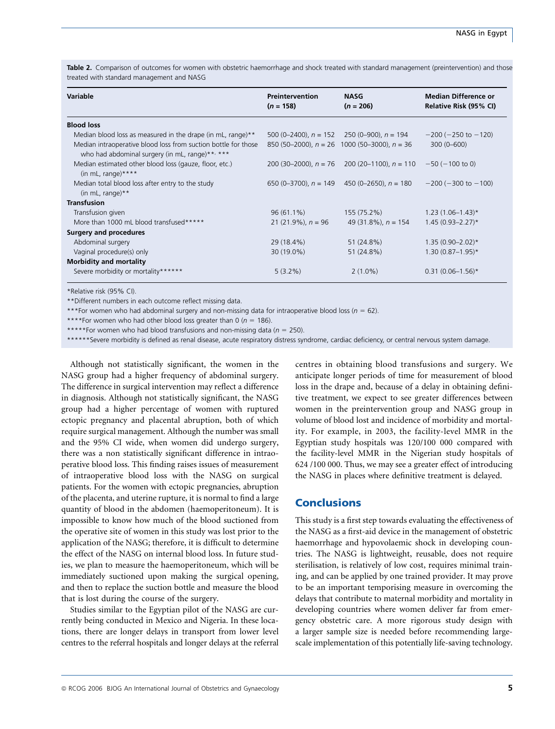Table 2. Comparison of outcomes for women with obstetric haemorrhage and shock treated with standard management (preintervention) and those treated with standard management and NASG

| Variable                                                                                                          | Preintervention<br>$(n = 158)$ | <b>NASG</b><br>$(n = 206)$                       | <b>Median Difference or</b><br>Relative Risk (95% CI) |
|-------------------------------------------------------------------------------------------------------------------|--------------------------------|--------------------------------------------------|-------------------------------------------------------|
| <b>Blood loss</b>                                                                                                 |                                |                                                  |                                                       |
| Median blood loss as measured in the drape (in mL, range)**                                                       |                                | 500 (0-2400), $n = 152$ 250 (0-900), $n = 194$   | $-200$ ( $-250$ to $-120$ )                           |
| Median intraoperative blood loss from suction bottle for those<br>who had abdominal surgery (in mL, range)**, *** |                                | 850 (50-2000), $n = 26$ 1000 (50-3000), $n = 36$ | 300 (0-600)                                           |
| Median estimated other blood loss (gauze, floor, etc.)<br>(in mL, range) ****                                     | 200 (30–2000), $n = 76$        | 200 (20–1100), $n = 110$                         | $-50$ ( $-100$ to 0)                                  |
| Median total blood loss after entry to the study<br>(in mL, range) $**$                                           | 650 (0-3700), $n = 149$        | 450 (0-2650), $n = 180$                          | $-200$ ( $-300$ to $-100$ )                           |
| <b>Transfusion</b>                                                                                                |                                |                                                  |                                                       |
| Transfusion given                                                                                                 | $96(61.1\%)$                   | 155 (75.2%)                                      | $1.23(1.06-1.43)$ *                                   |
| More than 1000 mL blood transfused*****                                                                           | $21(21.9\%)$ , $n = 96$        | 49 (31.8%), $n = 154$                            | $1.45(0.93 - 2.27)$ *                                 |
| <b>Surgery and procedures</b>                                                                                     |                                |                                                  |                                                       |
| Abdominal surgery                                                                                                 | 29 (18.4%)                     | 51 (24.8%)                                       | $1.35(0.90 - 2.02)^*$                                 |
| Vaginal procedure(s) only                                                                                         | 30 (19.0%)                     | 51 (24.8%)                                       | $1.30(0.87 - 1.95)^*$                                 |
| <b>Morbidity and mortality</b>                                                                                    |                                |                                                  |                                                       |
| Severe morbidity or mortality******                                                                               | $5(3.2\%)$                     | $2(1.0\%)$                                       | $0.31(0.06-1.56)$ *                                   |

\*Relative risk (95% CI).

\*\*Different numbers in each outcome reflect missing data.

\*\*\*For women who had abdominal surgery and non-missing data for intraoperative blood loss ( $n = 62$ ).

\*\*\*\*For women who had other blood loss greater than 0 ( $n = 186$ ).

\*\*\*\*\*For women who had blood transfusions and non-missing data ( $n = 250$ ).

\*\*\*\*\*\*Severe morbidity is defined as renal disease, acute respiratory distress syndrome, cardiac deficiency, or central nervous system damage.

Although not statistically significant, the women in the NASG group had a higher frequency of abdominal surgery. The difference in surgical intervention may reflect a difference in diagnosis. Although not statistically significant, the NASG group had a higher percentage of women with ruptured ectopic pregnancy and placental abruption, both of which require surgical management. Although the number was small and the 95% CI wide, when women did undergo surgery, there was a non statistically significant difference in intraoperative blood loss. This finding raises issues of measurement of intraoperative blood loss with the NASG on surgical patients. For the women with ectopic pregnancies, abruption of the placenta, and uterine rupture, it is normal to find a large quantity of blood in the abdomen (haemoperitoneum). It is impossible to know how much of the blood suctioned from the operative site of women in this study was lost prior to the application of the NASG; therefore, it is difficult to determine the effect of the NASG on internal blood loss. In future studies, we plan to measure the haemoperitoneum, which will be immediately suctioned upon making the surgical opening, and then to replace the suction bottle and measure the blood that is lost during the course of the surgery.

Studies similar to the Egyptian pilot of the NASG are currently being conducted in Mexico and Nigeria. In these locations, there are longer delays in transport from lower level centres to the referral hospitals and longer delays at the referral centres in obtaining blood transfusions and surgery. We anticipate longer periods of time for measurement of blood loss in the drape and, because of a delay in obtaining definitive treatment, we expect to see greater differences between women in the preintervention group and NASG group in volume of blood lost and incidence of morbidity and mortality. For example, in 2003, the facility-level MMR in the Egyptian study hospitals was 120/100 000 compared with the facility-level MMR in the Nigerian study hospitals of 624 /100 000. Thus, we may see a greater effect of introducing the NASG in places where definitive treatment is delayed.

#### **Conclusions**

This study is a first step towards evaluating the effectiveness of the NASG as a first-aid device in the management of obstetric haemorrhage and hypovolaemic shock in developing countries. The NASG is lightweight, reusable, does not require sterilisation, is relatively of low cost, requires minimal training, and can be applied by one trained provider. It may prove to be an important temporising measure in overcoming the delays that contribute to maternal morbidity and mortality in developing countries where women deliver far from emergency obstetric care. A more rigorous study design with a larger sample size is needed before recommending largescale implementation of this potentially life-saving technology.